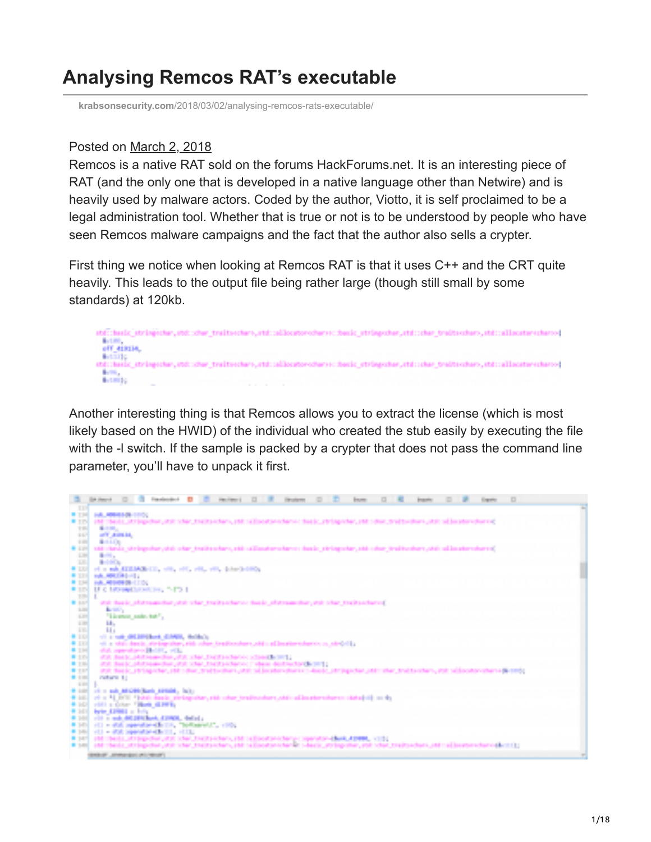# **Analysing Remcos RAT's executable**

**krabsonsecurity.com**[/2018/03/02/analysing-remcos-rats-executable/](https://krabsonsecurity.com/2018/03/02/analysing-remcos-rats-executable/)

#### Posted on [March 2, 2018](https://krabsonsecurity.com/2018/03/02/)

Remcos is a native RAT sold on the forums HackForums.net. It is an interesting piece of RAT (and the only one that is developed in a native language other than Netwire) and is heavily used by malware actors. Coded by the author, Viotto, it is self proclaimed to be a legal administration tool. Whether that is true or not is to be understood by people who have seen Remcos malware campaigns and the fact that the author also sells a crypter.

First thing we notice when looking at Remcos RAT is that it uses C++ and the CRT quite heavily. This leads to the output file being rather large (though still small by some standards) at 120kb.



Another interesting thing is that Remcos allows you to extract the license (which is most likely based on the HWID) of the individual who created the stub easily by executing the file with the -I switch. If the sample is packed by a crypter that does not pass the command line parameter, you'll have to unpack it first.

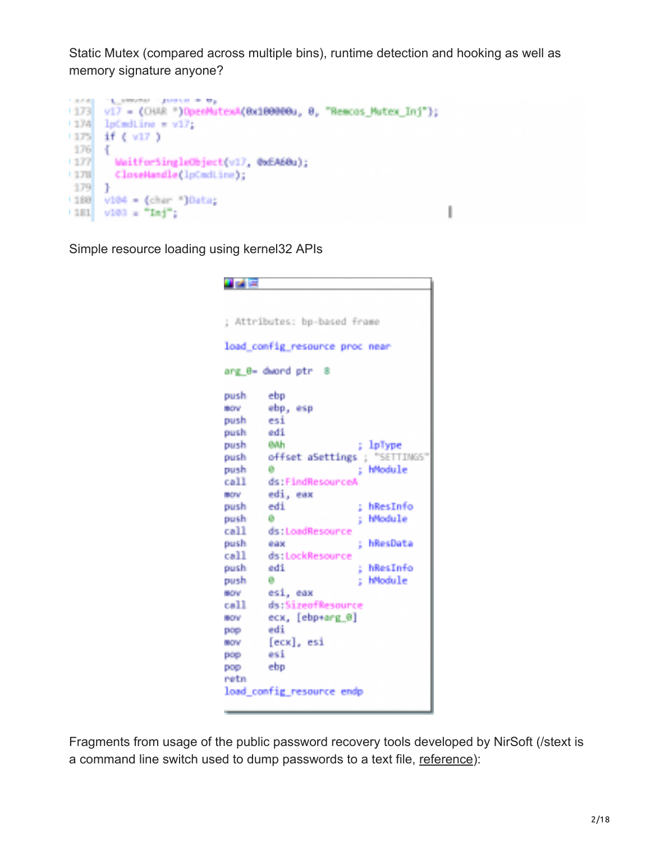Static Mutex (compared across multiple bins), runtime detection and hooking as well as memory signature anyone?

```
1,8740
      CLASSING CAMBRIDGE
     v17 = (ONAR ")OpenMutexA(Bx180000u, 0, "Remcos Mutex Inj");
1173
1274 lpCmdLine = v17;
(175 - 1) (\sqrt{17})
176 {
        WaitforSingleObject(v17, 0xEA60u);
(177)
+178CloseHandle(lpCmdLine);
179
     ÷.
(188) v104 = (char ")Data;
(191 / v103 = "Daj";
```
Simple resource loading using kernel32 APIs

```
出する
; Attributes: bp-based frame
load_config_resource_proc_near
ang_0- dword ptr 8
push
        ebo.
mow.
        ebp, esp.
push
        esi
        edi
push.
        94h
push
                         ; lpType
        offset aSettings ; "SETTINGS"
push
                         ; hModule
push
        Ф.
        ds:FindResourceA
call
INSTRACTOR
        edi, eax
push
        edi
                         ; hResInfo
push
        B .
                         ; hModule
call
        ds:LoadResounce
push
                         : hResData
        east the control of the control of
call
        ds:LockResounce
        edi ; hResInfo
push
push
        Ø.
                        : hModule
MOV
        esi, eax
        ds:SizeofResource
call.
        ecx, [ebp+arg_0]
BOV
        edi
Page
        [ecx], esi
HOV
        esi
pop-
        ebp
pop
retn
load config resource endp
```
Fragments from usage of the public password recovery tools developed by NirSoft (/stext is a command line switch used to dump passwords to a text file, [reference\)](https://www.nirsoft.net/utils/web_browser_password.html):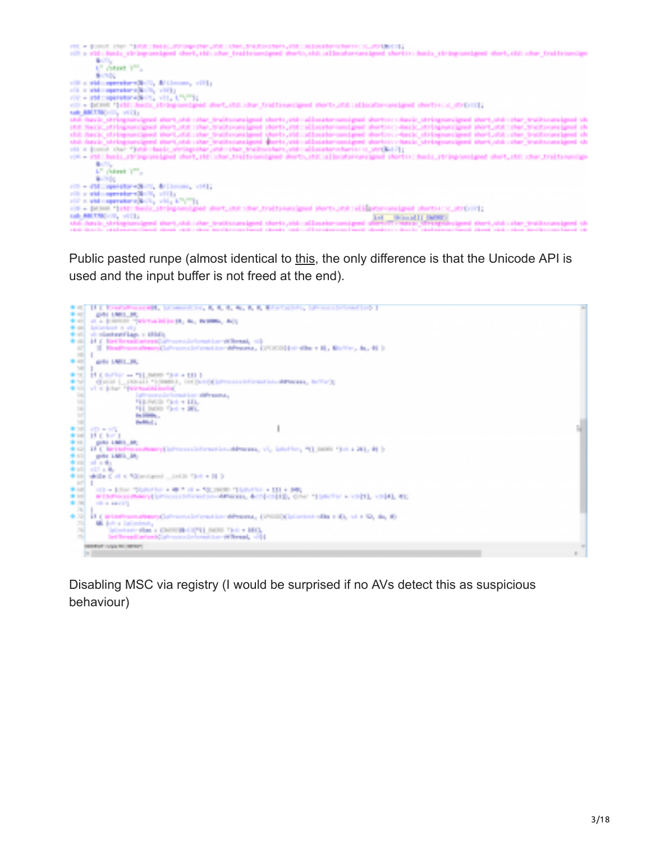

Public pasted runpe (almost identical to [this](https://github.com/jozemberi/PE-Crypter/blob/master/runPE.h), the only difference is that the Unicode API is used and the input buffer is not freed at the end).



Disabling MSC via registry (I would be surprised if no AVs detect this as suspicious behaviour)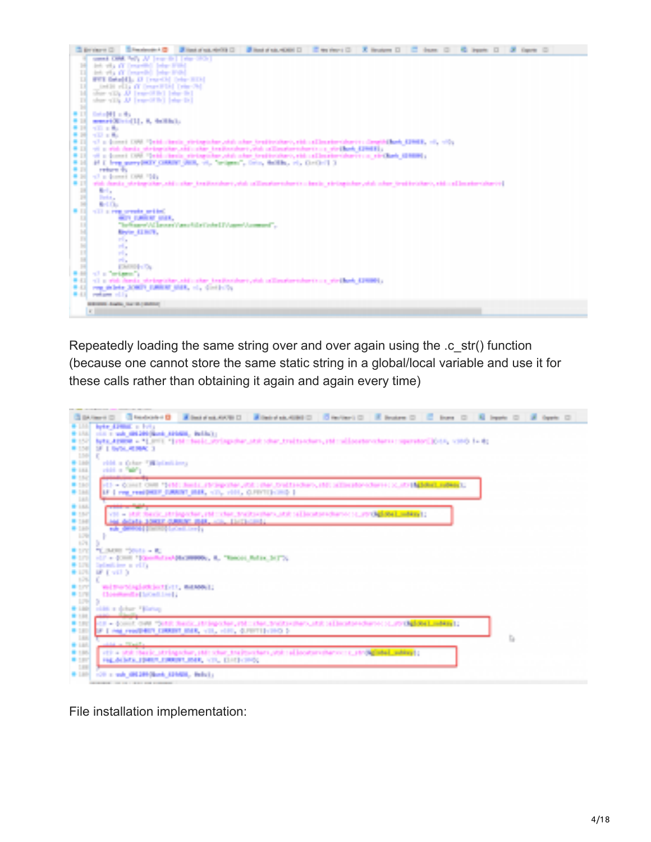

Repeatedly loading the same string over and over again using the .c\_str() function (because one cannot store the same static string in a global/local variable and use it for these calls rather than obtaining it again and again every time)



File installation implementation: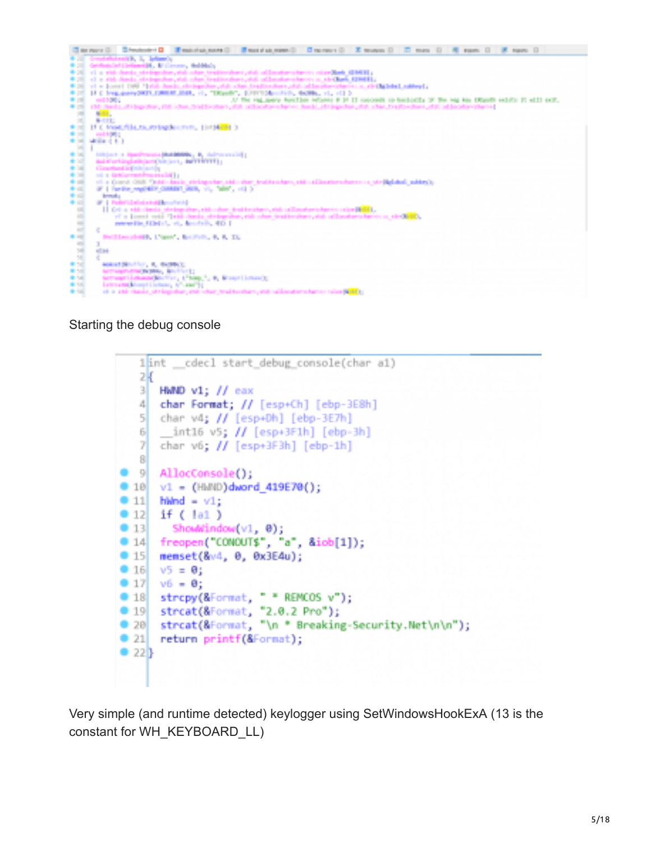

#### Starting the debug console



Very simple (and runtime detected) keylogger using SetWindowsHookExA (13 is the constant for WH\_KEYBOARD\_LL)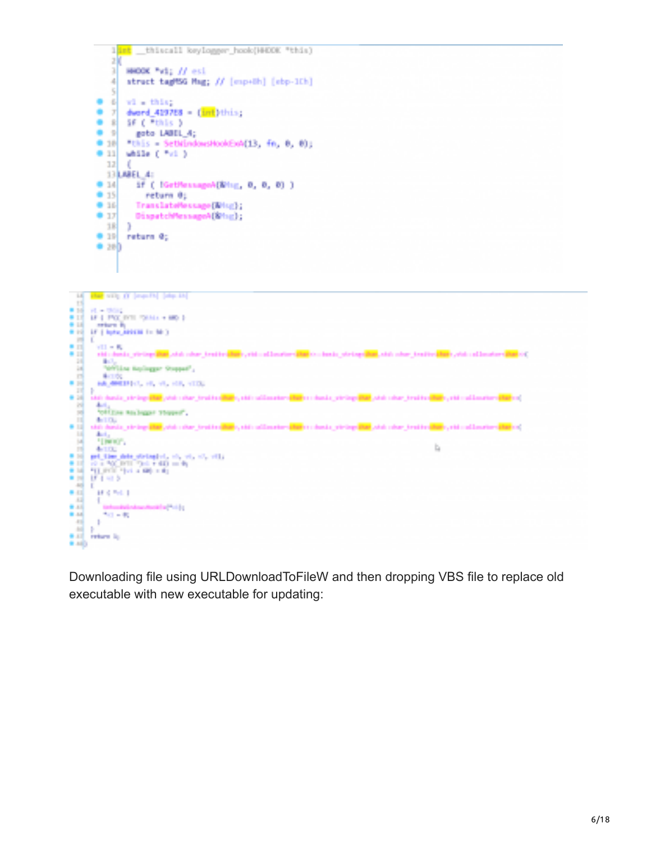



Downloading file using URLDownloadToFileW and then dropping VBS file to replace old executable with new executable for updating: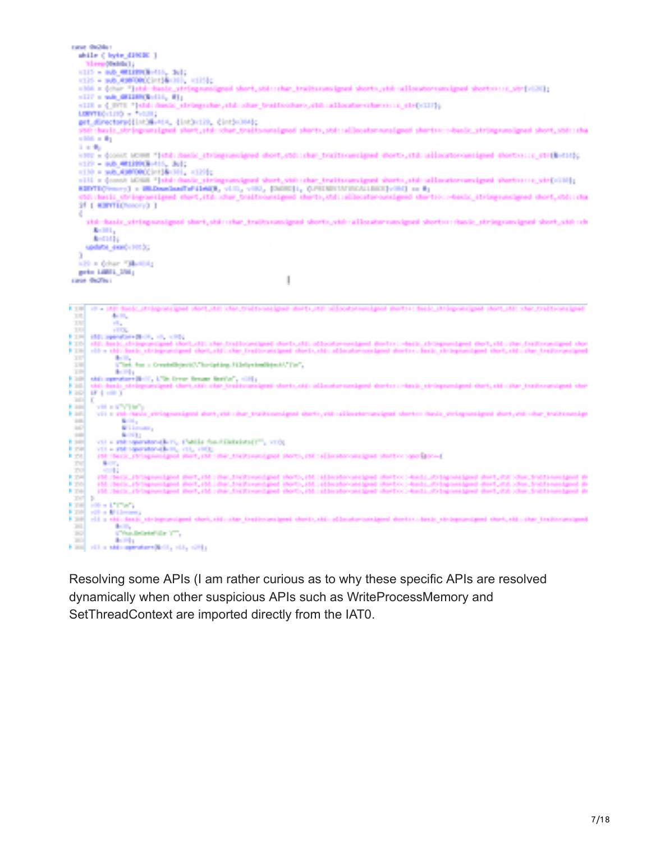|                                 | career the Mary                                                                                                                                                                                                                                                                           |
|---------------------------------|-------------------------------------------------------------------------------------------------------------------------------------------------------------------------------------------------------------------------------------------------------------------------------------------|
|                                 | while ( byte_1200BC )                                                                                                                                                                                                                                                                     |
|                                 | <b>More Shirls Li</b>                                                                                                                                                                                                                                                                     |
|                                 | <b>KID - 80 WINNERIE, 1611</b>                                                                                                                                                                                                                                                            |
|                                 | ※125 × mRLADNORO23m134×300、×12502<br>sitä a detur "jatdi duude stringaussignud skort, stdi istur, trudtsaussignud skorts, stdi ullosutorium ignud skortsa ia "ttrislälli                                                                                                                  |
|                                 | SILP & SALEMANS SOLID, M1:                                                                                                                                                                                                                                                                |
|                                 | v118 = { NYT "}45d; desix_stringsstor_std; shar_brattcohero_chi; sillocabe-sstarce; sc_str{-C177};                                                                                                                                                                                        |
|                                 | LONTENING + THIS !!                                                                                                                                                                                                                                                                       |
|                                 | get_directoradistimate_ distincts, cintimately                                                                                                                                                                                                                                            |
|                                 | std:/basic_stringcarsignal-phort_std:/shar_traits-unsignal-phorts_std:/aljacator-unsignal-phortsc://basic_stringswoolgnad-short_std://ba                                                                                                                                                  |
|                                 | <b>START OF BUILDING</b>                                                                                                                                                                                                                                                                  |
|                                 | a mater                                                                                                                                                                                                                                                                                   |
|                                 | KINE & COOKE MOONE "Istal:Renix stringsweeigned doof, FASI:Char traitscancianed doofty, (td: allacatorcancianed doofty); { {TH[B=CH];<br>V129 - H20 40120930-115, 3611                                                                                                                    |
|                                 | H130 + WALAURTOROCHT1&H111, H1201c                                                                                                                                                                                                                                                        |
|                                 | olii a (see) idiili "Jatabisale_atriagoasignal shert, vido ohar_traitamaignal sherto, atabaalisemaasignal shertoo o_vir(bilit);                                                                                                                                                           |
|                                 | EDIVISIONS TO BEDARDARINGING, VIII, VIII, DEEL, CHEESEIMINGILEERIVED on By                                                                                                                                                                                                                |
|                                 | etc. beig stringsmeigend stort. Italischer traitssonsieme sherts stallachtersonsieme shertsul-basic stringsposizend short. Stallida                                                                                                                                                       |
|                                 | <b>STATE EXPERIENCES</b>                                                                                                                                                                                                                                                                  |
| ĸ.                              |                                                                                                                                                                                                                                                                                           |
|                                 | std: basic_viringsunsigned shart,std:::har_tradissunsigned shorts_vid::allocatorsunsigned short::::hasic_stringsunsigned short_vid::ch                                                                                                                                                    |
|                                 | Arrest L                                                                                                                                                                                                                                                                                  |
|                                 | <b>And Mary</b>                                                                                                                                                                                                                                                                           |
|                                 | spokete stranov 101.00                                                                                                                                                                                                                                                                    |
|                                 | ATA in Cohen Tabellida                                                                                                                                                                                                                                                                    |
|                                 | garten Laghill, 2004;                                                                                                                                                                                                                                                                     |
|                                 | I<br>Lange Grazines                                                                                                                                                                                                                                                                       |
|                                 |                                                                                                                                                                                                                                                                                           |
|                                 |                                                                                                                                                                                                                                                                                           |
|                                 |                                                                                                                                                                                                                                                                                           |
| in som                          | IT - IEE SHAC ITTING WATER SAFTLINE STATISTIC WATERS AND ARRESTS WAS CONSUMING INSTITUTED AS EXPLORED AS THE STATISTIC STATISTICS OF                                                                                                                                                      |
| T.                              | de la p                                                                                                                                                                                                                                                                                   |
| 150                             | a ka                                                                                                                                                                                                                                                                                      |
| 101                             | <b>COL</b><br>FIRE AND Specificate Short, 40, 4000.                                                                                                                                                                                                                                       |
|                                 | FIRE AND Real-chromocopies short-christine-traditions/good short-christial-contensured district-bests. (biogeneraged short, chicago-characters) short-                                                                                                                                    |
|                                 | P. 196 of a stati back, stringenerigned short, stati star (realisons) shorts, all includes contained shorts i back, its importanced short, all i the (realisons) pred                                                                                                                     |
| <b>TANK</b><br>2.95             | <b>Sec. 3</b><br>UTed, for a Createdbiant(AThorization, Hileliyeten(Biant), TieT,                                                                                                                                                                                                         |
| a mi                            | <b>Section</b>                                                                                                                                                                                                                                                                            |
|                                 | E.200 shit operators(B-17, LTDs from financ Best's", sidly                                                                                                                                                                                                                                |
| .                               | still dasir steinwicklassi studiodicular traitsianismei studiodiculianismessiamei darben cotaçir etminecessesi studiodiculiar traitsiansigmai studiodiculare inter<br><b>MA 1970</b>                                                                                                      |
| H BRA<br><b>ALC</b>             |                                                                                                                                                                                                                                                                                           |
| <b>Hills</b>                    | viting a string for you                                                                                                                                                                                                                                                                   |
| t an<br><b>Bill</b>             | vii n ehk davis ehtingsveigend deut, ehk sine traikssunigend dhets, ehk säämetervasigend sherts» davis yöringsveigend deut, viel sine traikssunige                                                                                                                                        |
| <b>ALC</b>                      | a m<br><b>No benefit a</b>                                                                                                                                                                                                                                                                |
| 18                              | <b>Northern</b>                                                                                                                                                                                                                                                                           |
| in sant<br>in mar               | vil + rid spendandkill, Cabia footiklaining (", vil);                                                                                                                                                                                                                                     |
| in steal                        | VII + 100 spendandicity vii), viiQ;<br>rate texts, ratingseeigent met, rate met, racks eenigsel stotts, rate allecator on igest stotts constitute (                                                                                                                                       |
| 2001                            | <b>Barrier</b>                                                                                                                                                                                                                                                                            |
| $-1000$                         | a sa b                                                                                                                                                                                                                                                                                    |
| <b>DISTANT</b><br><b>B</b> 1994 | FM / HHOCATHONGHAM (PHT, FM) (RM), THOSHAM (PHT), FM) (Eliminated station) distinct heals, 2014 one deal (PHT) (OR ) Dan, Statisment and in<br>(NUMEROUS) Separational mest, (NUMBEROUS) (Section and the Uniterconstitute destroyed and LOS happening about, and LOS Uniterconstitute in |
| <b>Part of</b>                  | (N. 160), (Visponized Wet, (N. 26), Detroit pel Wet, (N. 3) interferomized Weto: Hels, Ohio-Hand Wet, (S. 20), Detroit besigned W                                                                                                                                                         |
| <b>STATE OF</b>                 |                                                                                                                                                                                                                                                                                           |
|                                 | <b>FIRE HRIGHTING</b>                                                                                                                                                                                                                                                                     |
| <b>FINE</b><br><b>FORE</b>      | with a difficult state.<br>vid a ständenda strömptenigent stert, ständste treätstenigent stert, ständslandertexatgent dertikningin intensigent stert, sich also treätstenigent                                                                                                            |
| and a                           | and the                                                                                                                                                                                                                                                                                   |
| <b>TO</b><br><b>COLOR</b>       | a "Parchelinke" also "I"".<br><b>Barba</b>                                                                                                                                                                                                                                                |

Resolving some APIs (I am rather curious as to why these specific APIs are resolved dynamically when other suspicious APIs such as WriteProcessMemory and SetThreadContext are imported directly from the IAT0.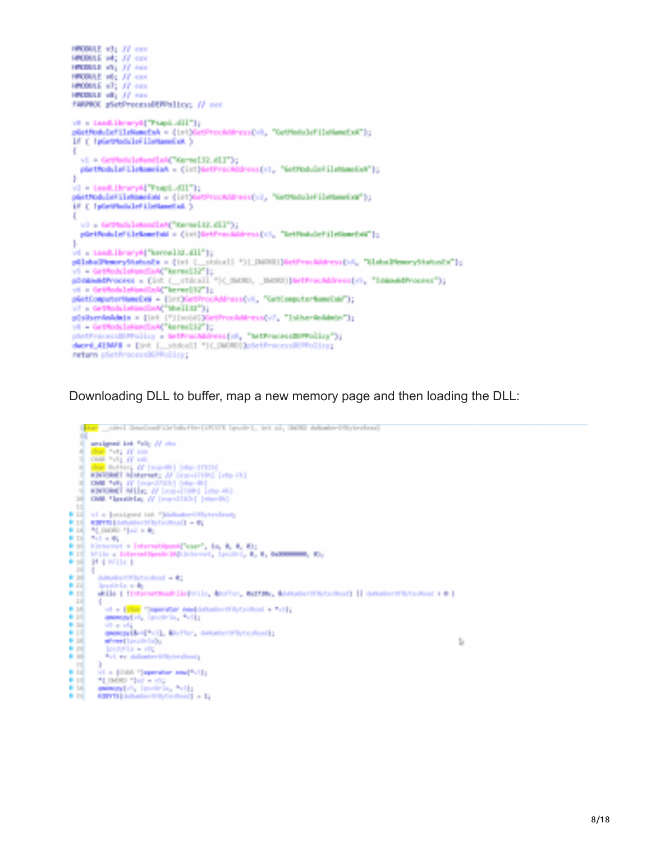```
HOBILE vily JV car.
HROBULE VAL. 22 max
HORALD WILL JV Has
HROBULE with JV exce
HROBULE VOT, 37 mm
HISBALL VAL JV Has
IMPROX pSetFreezaaDEPPalicy; // car
ve = Load.ihrory0("Psapi.dII");
pGetRodoleFileMomeExA = 01st0Ge
                                       rockddressCvR, "GetPladuleFileHameExA");
17 ( ) platfields left listensitet. )
Đ.
  vi = GriffsdaleRandLoAC"Gernel32.dll"3;
  päettodulatilatameiat = (intjästProckSdress[ci, "Settodulatilatameiot");
Þ
vi = Leed.ihrany#("Frapi.dll");
pástřoduleřilehmesiam = (inthistrocedaressov), "detraduleřilehmesiam");
if ( ) portfolder included )
ł.
  vi = GettedsleksedleA("Kernelik.dll");
  pürtfonklefilekanefaki = (int)betFrackfdress[cl, "betFonkdefilekanefaki");
ţ.
vi = insdiktery#{"sereelid.dll"};
pülebelPiemeryStefoodle = {irt {__rbitall *}[_DADUI}NetFrechübrers[v4, "UlebelPiemeryStefoodle"};<br>v5 = GriffodslaHandlaA("karmelil?"};<br>põrmanddVoodes = {int {_videall *}{_DADU}, _DADUI}NetFrechübrecs[v5, "DamanddVoodes"};
vi = Griffodslefandlok("bernelit2");
pletComputerNameExN = {Int)GetProcAddress(vS, "GetComputerNameEnb");
v) = Grimonlemonday("Mellin");
philosophologia = (int (")(wobi))(etProcoldiness(v), "Intherioldinin");
vi = GrtRodsTationclink("kereel(12");
phetroceculisticity = detrocedorece(vi, "actroceculisticity");
deord_419991 = [int [_stdodll ")(_DUORD));Setfrecess@PPolicy;<br>return pictfrocess@Pfolicy;
```
#### Downloading DLL to buffer, map a new memory page and then loading the DLL:

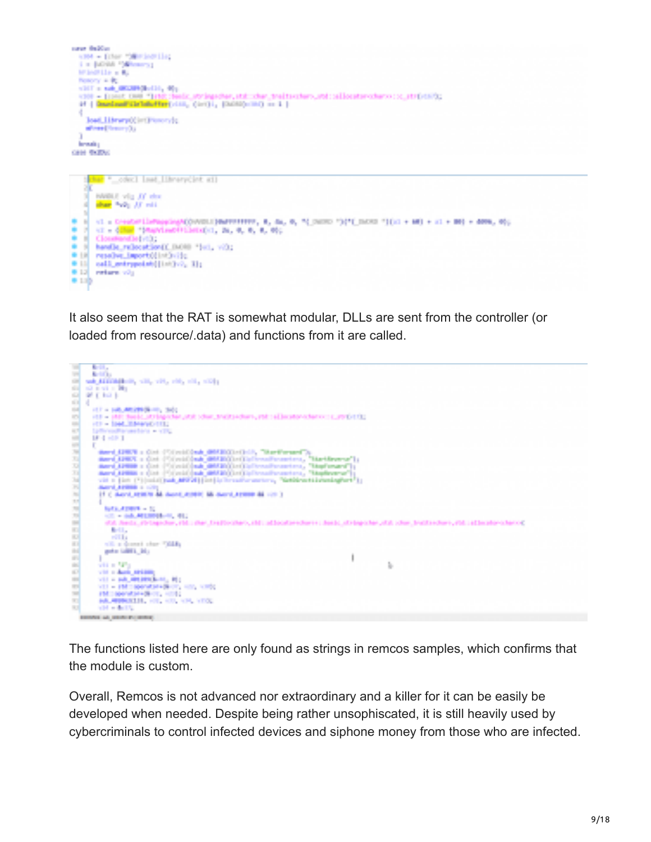



It also seem that the RAT is somewhat modular, DLLs are sent from the controller (or loaded from resource/.data) and functions from it are called.



The functions listed here are only found as strings in remcos samples, which confirms that the module is custom.

Overall, Remcos is not advanced nor extraordinary and a killer for it can be easily be developed when needed. Despite being rather unsophiscated, it is still heavily used by cybercriminals to control infected devices and siphone money from those who are infected.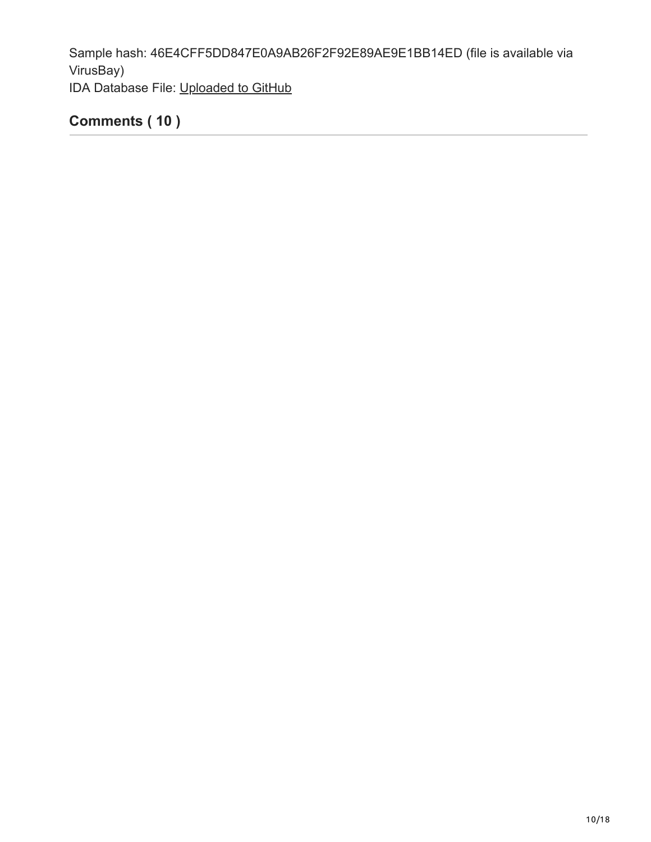Sample hash: 46E4CFF5DD847E0A9AB26F2F92E89AE9E1BB14ED (file is available via VirusBay) IDA Database File: [Uploaded to GitHub](https://github.com/zunzutech/public-idb)

## **Comments ( 10 )**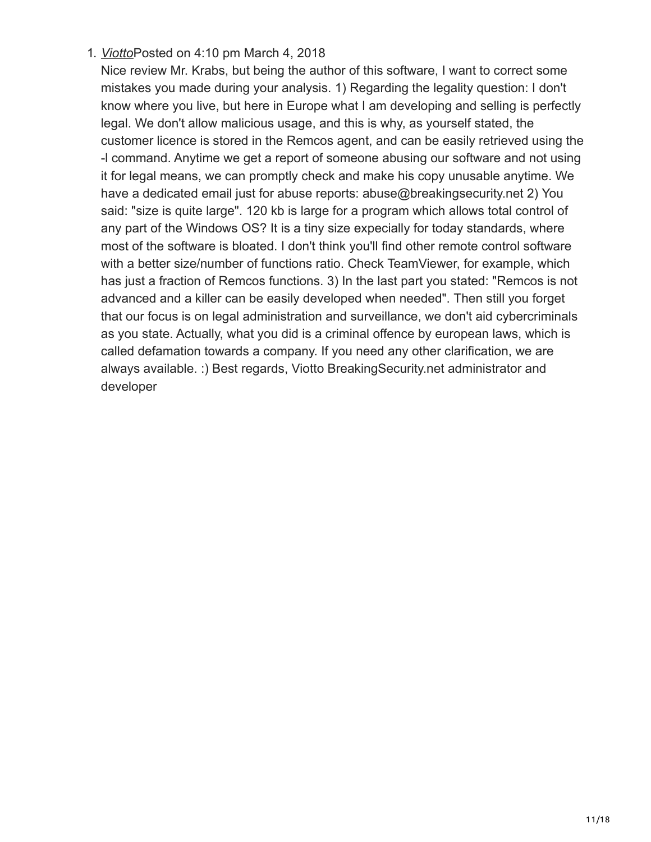## 1. *[Viotto](https://breaking-security.net/)*Posted on 4:10 pm March 4, 2018

Nice review Mr. Krabs, but being the author of this software, I want to correct some mistakes you made during your analysis. 1) Regarding the legality question: I don't know where you live, but here in Europe what I am developing and selling is perfectly legal. We don't allow malicious usage, and this is why, as yourself stated, the customer licence is stored in the Remcos agent, and can be easily retrieved using the -l command. Anytime we get a report of someone abusing our software and not using it for legal means, we can promptly check and make his copy unusable anytime. We have a dedicated email just for abuse reports: abuse@breakingsecurity.net 2) You said: "size is quite large". 120 kb is large for a program which allows total control of any part of the Windows OS? It is a tiny size expecially for today standards, where most of the software is bloated. I don't think you'll find other remote control software with a better size/number of functions ratio. Check TeamViewer, for example, which has just a fraction of Remcos functions. 3) In the last part you stated: "Remcos is not advanced and a killer can be easily developed when needed". Then still you forget that our focus is on legal administration and surveillance, we don't aid cybercriminals as you state. Actually, what you did is a criminal offence by european laws, which is called defamation towards a company. If you need any other clarification, we are always available. :) Best regards, Viotto BreakingSecurity.net administrator and developer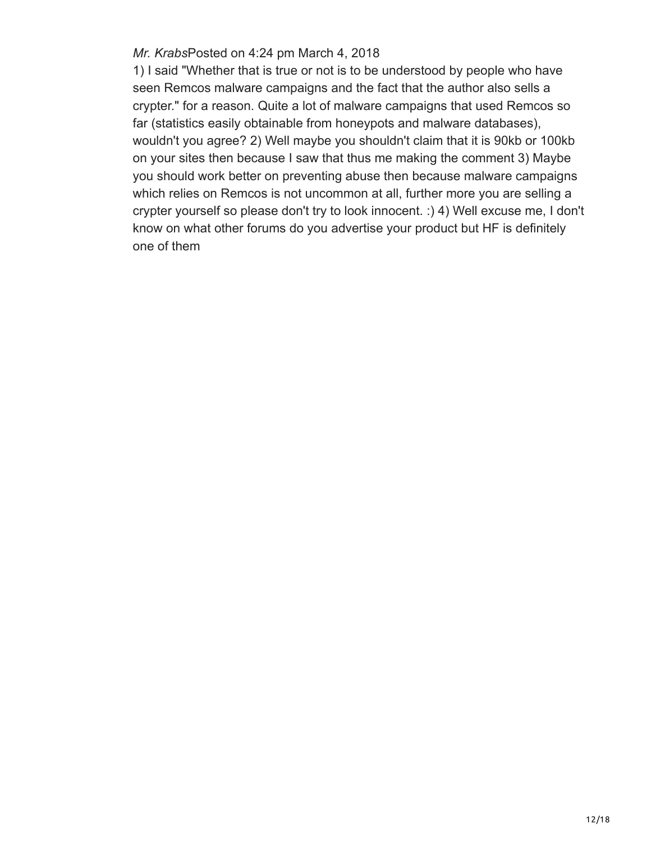#### *Mr. Krabs*Posted on 4:24 pm March 4, 2018

1) I said "Whether that is true or not is to be understood by people who have seen Remcos malware campaigns and the fact that the author also sells a crypter." for a reason. Quite a lot of malware campaigns that used Remcos so far (statistics easily obtainable from honeypots and malware databases), wouldn't you agree? 2) Well maybe you shouldn't claim that it is 90kb or 100kb on your sites then because I saw that thus me making the comment 3) Maybe you should work better on preventing abuse then because malware campaigns which relies on Remcos is not uncommon at all, further more you are selling a crypter yourself so please don't try to look innocent. :) 4) Well excuse me, I don't know on what other forums do you advertise your product but HF is definitely one of them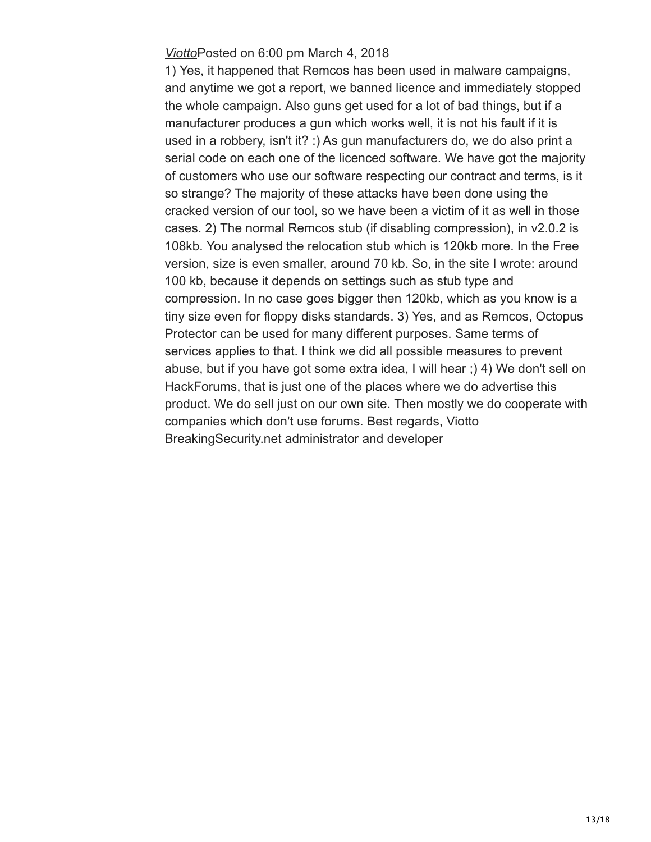#### *[Viotto](https://breaking-security.net/)*Posted on 6:00 pm March 4, 2018

1) Yes, it happened that Remcos has been used in malware campaigns, and anytime we got a report, we banned licence and immediately stopped the whole campaign. Also guns get used for a lot of bad things, but if a manufacturer produces a gun which works well, it is not his fault if it is used in a robbery, isn't it? :) As gun manufacturers do, we do also print a serial code on each one of the licenced software. We have got the majority of customers who use our software respecting our contract and terms, is it so strange? The majority of these attacks have been done using the cracked version of our tool, so we have been a victim of it as well in those cases. 2) The normal Remcos stub (if disabling compression), in v2.0.2 is 108kb. You analysed the relocation stub which is 120kb more. In the Free version, size is even smaller, around 70 kb. So, in the site I wrote: around 100 kb, because it depends on settings such as stub type and compression. In no case goes bigger then 120kb, which as you know is a tiny size even for floppy disks standards. 3) Yes, and as Remcos, Octopus Protector can be used for many different purposes. Same terms of services applies to that. I think we did all possible measures to prevent abuse, but if you have got some extra idea, I will hear ;) 4) We don't sell on HackForums, that is just one of the places where we do advertise this product. We do sell just on our own site. Then mostly we do cooperate with companies which don't use forums. Best regards, Viotto BreakingSecurity.net administrator and developer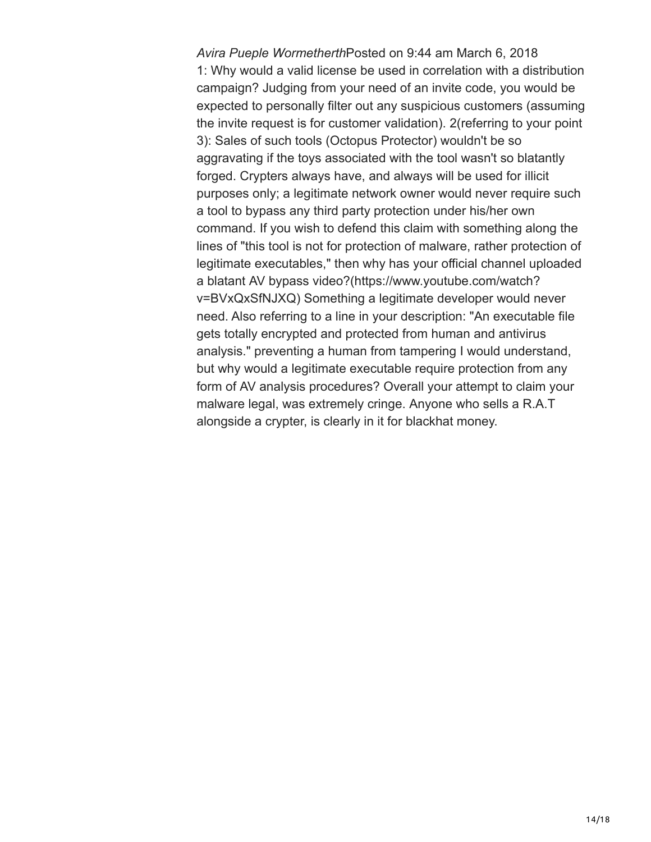*Avira Pueple Wormetherth*Posted on 9:44 am March 6, 2018 1: Why would a valid license be used in correlation with a distribution campaign? Judging from your need of an invite code, you would be expected to personally filter out any suspicious customers (assuming the invite request is for customer validation). 2(referring to your point 3): Sales of such tools (Octopus Protector) wouldn't be so aggravating if the toys associated with the tool wasn't so blatantly forged. Crypters always have, and always will be used for illicit purposes only; a legitimate network owner would never require such a tool to bypass any third party protection under his/her own command. If you wish to defend this claim with something along the lines of "this tool is not for protection of malware, rather protection of legitimate executables," then why has your official channel uploaded a blatant AV bypass video?(https://www.youtube.com/watch? v=BVxQxSfNJXQ) Something a legitimate developer would never need. Also referring to a line in your description: "An executable file gets totally encrypted and protected from human and antivirus analysis." preventing a human from tampering I would understand, but why would a legitimate executable require protection from any form of AV analysis procedures? Overall your attempt to claim your malware legal, was extremely cringe. Anyone who sells a R.A.T alongside a crypter, is clearly in it for blackhat money.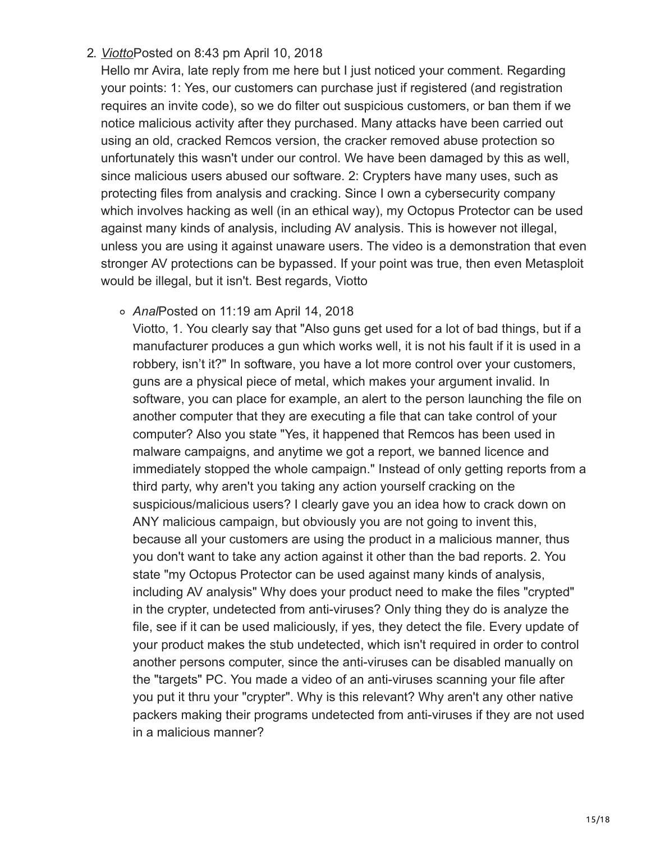## 2. *[Viotto](https://breaking-security.net/)*Posted on 8:43 pm April 10, 2018

Hello mr Avira, late reply from me here but I just noticed your comment. Regarding your points: 1: Yes, our customers can purchase just if registered (and registration requires an invite code), so we do filter out suspicious customers, or ban them if we notice malicious activity after they purchased. Many attacks have been carried out using an old, cracked Remcos version, the cracker removed abuse protection so unfortunately this wasn't under our control. We have been damaged by this as well, since malicious users abused our software. 2: Crypters have many uses, such as protecting files from analysis and cracking. Since I own a cybersecurity company which involves hacking as well (in an ethical way), my Octopus Protector can be used against many kinds of analysis, including AV analysis. This is however not illegal, unless you are using it against unaware users. The video is a demonstration that even stronger AV protections can be bypassed. If your point was true, then even Metasploit would be illegal, but it isn't. Best regards, Viotto

*Anal*Posted on 11:19 am April 14, 2018

Viotto, 1. You clearly say that "Also guns get used for a lot of bad things, but if a manufacturer produces a gun which works well, it is not his fault if it is used in a robbery, isn't it?" In software, you have a lot more control over your customers, guns are a physical piece of metal, which makes your argument invalid. In software, you can place for example, an alert to the person launching the file on another computer that they are executing a file that can take control of your computer? Also you state "Yes, it happened that Remcos has been used in malware campaigns, and anytime we got a report, we banned licence and immediately stopped the whole campaign." Instead of only getting reports from a third party, why aren't you taking any action yourself cracking on the suspicious/malicious users? I clearly gave you an idea how to crack down on ANY malicious campaign, but obviously you are not going to invent this, because all your customers are using the product in a malicious manner, thus you don't want to take any action against it other than the bad reports. 2. You state "my Octopus Protector can be used against many kinds of analysis, including AV analysis" Why does your product need to make the files "crypted" in the crypter, undetected from anti-viruses? Only thing they do is analyze the file, see if it can be used maliciously, if yes, they detect the file. Every update of your product makes the stub undetected, which isn't required in order to control another persons computer, since the anti-viruses can be disabled manually on the "targets" PC. You made a video of an anti-viruses scanning your file after you put it thru your "crypter". Why is this relevant? Why aren't any other native packers making their programs undetected from anti-viruses if they are not used in a malicious manner?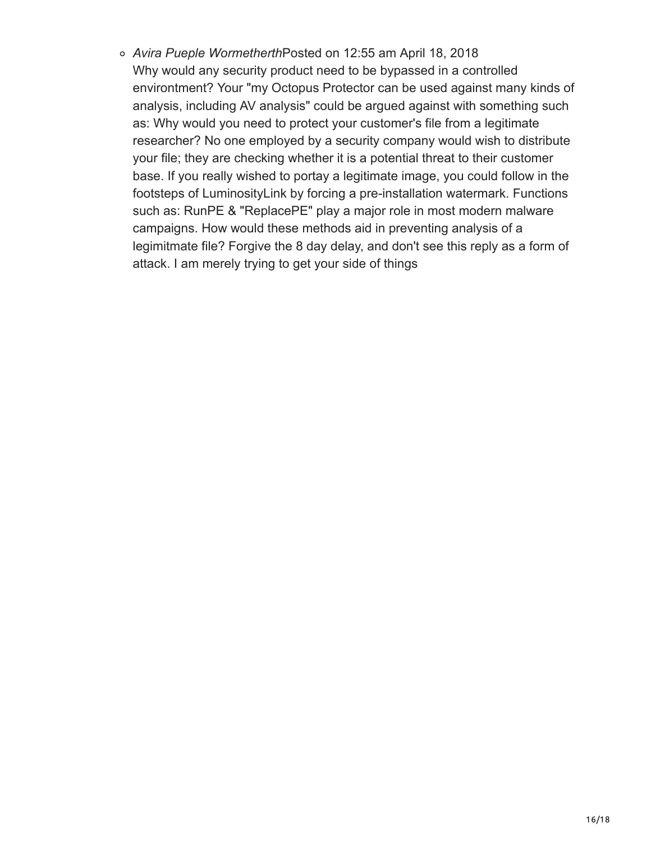*Avira Pueple Wormetherth*Posted on 12:55 am April 18, 2018 Why would any security product need to be bypassed in a controlled environtment? Your "my Octopus Protector can be used against many kinds of analysis, including AV analysis" could be argued against with something such as: Why would you need to protect your customer's file from a legitimate researcher? No one employed by a security company would wish to distribute your file; they are checking whether it is a potential threat to their customer base. If you really wished to portay a legitimate image, you could follow in the footsteps of LuminosityLink by forcing a pre-installation watermark. Functions such as: RunPE & "ReplacePE" play a major role in most modern malware campaigns. How would these methods aid in preventing analysis of a legimitmate file? Forgive the 8 day delay, and don't see this reply as a form of attack. I am merely trying to get your side of things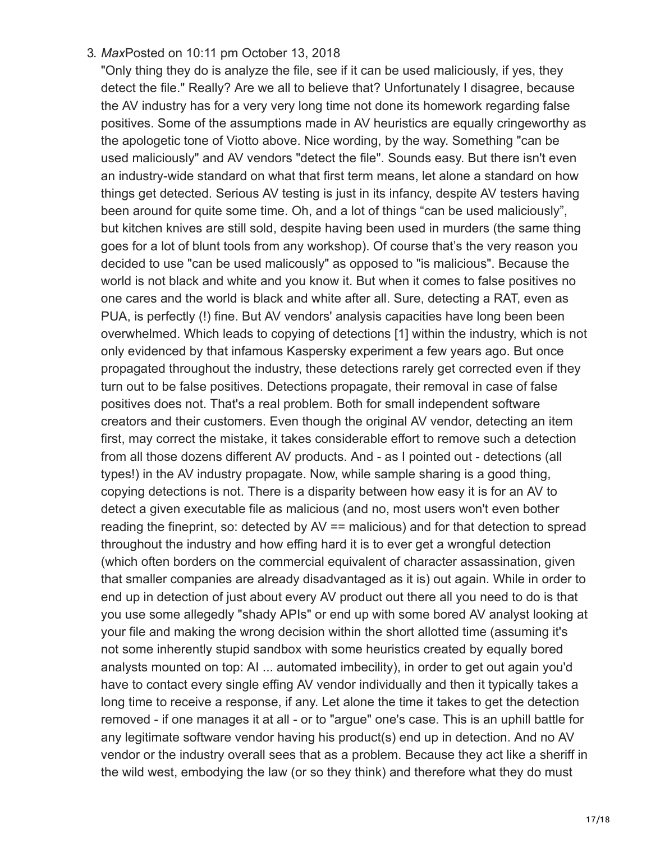### 3. *Max*Posted on 10:11 pm October 13, 2018

"Only thing they do is analyze the file, see if it can be used maliciously, if yes, they detect the file." Really? Are we all to believe that? Unfortunately I disagree, because the AV industry has for a very very long time not done its homework regarding false positives. Some of the assumptions made in AV heuristics are equally cringeworthy as the apologetic tone of Viotto above. Nice wording, by the way. Something "can be used maliciously" and AV vendors "detect the file". Sounds easy. But there isn't even an industry-wide standard on what that first term means, let alone a standard on how things get detected. Serious AV testing is just in its infancy, despite AV testers having been around for quite some time. Oh, and a lot of things "can be used maliciously", but kitchen knives are still sold, despite having been used in murders (the same thing goes for a lot of blunt tools from any workshop). Of course that's the very reason you decided to use "can be used malicously" as opposed to "is malicious". Because the world is not black and white and you know it. But when it comes to false positives no one cares and the world is black and white after all. Sure, detecting a RAT, even as PUA, is perfectly (!) fine. But AV vendors' analysis capacities have long been been overwhelmed. Which leads to copying of detections [1] within the industry, which is not only evidenced by that infamous Kaspersky experiment a few years ago. But once propagated throughout the industry, these detections rarely get corrected even if they turn out to be false positives. Detections propagate, their removal in case of false positives does not. That's a real problem. Both for small independent software creators and their customers. Even though the original AV vendor, detecting an item first, may correct the mistake, it takes considerable effort to remove such a detection from all those dozens different AV products. And - as I pointed out - detections (all types!) in the AV industry propagate. Now, while sample sharing is a good thing, copying detections is not. There is a disparity between how easy it is for an AV to detect a given executable file as malicious (and no, most users won't even bother reading the fineprint, so: detected by AV == malicious) and for that detection to spread throughout the industry and how effing hard it is to ever get a wrongful detection (which often borders on the commercial equivalent of character assassination, given that smaller companies are already disadvantaged as it is) out again. While in order to end up in detection of just about every AV product out there all you need to do is that you use some allegedly "shady APIs" or end up with some bored AV analyst looking at your file and making the wrong decision within the short allotted time (assuming it's not some inherently stupid sandbox with some heuristics created by equally bored analysts mounted on top: AI ... automated imbecility), in order to get out again you'd have to contact every single effing AV vendor individually and then it typically takes a long time to receive a response, if any. Let alone the time it takes to get the detection removed - if one manages it at all - or to "argue" one's case. This is an uphill battle for any legitimate software vendor having his product(s) end up in detection. And no AV vendor or the industry overall sees that as a problem. Because they act like a sheriff in the wild west, embodying the law (or so they think) and therefore what they do must